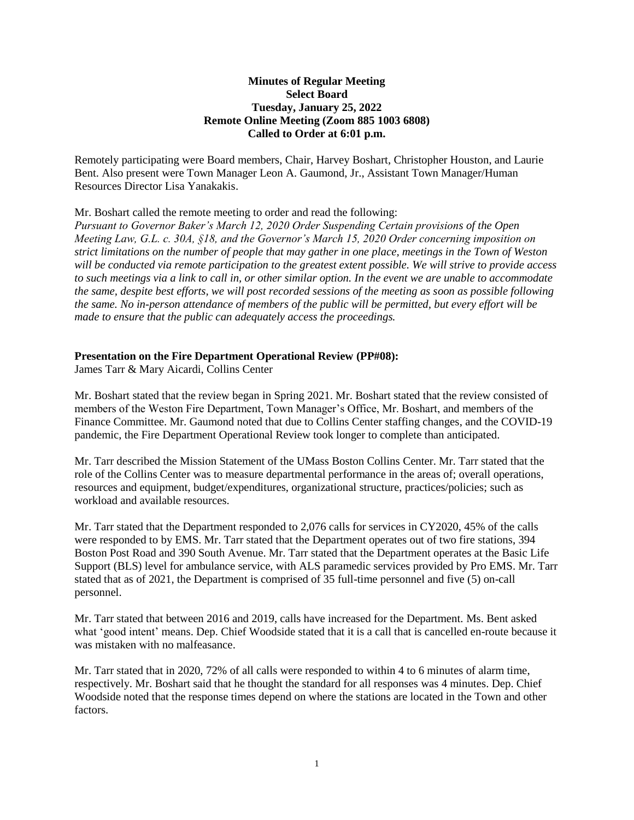# **Minutes of Regular Meeting Select Board Tuesday, January 25, 2022 Remote Online Meeting (Zoom 885 1003 6808) Called to Order at 6:01 p.m.**

Remotely participating were Board members, Chair, Harvey Boshart, Christopher Houston, and Laurie Bent. Also present were Town Manager Leon A. Gaumond, Jr., Assistant Town Manager/Human Resources Director Lisa Yanakakis.

# Mr. Boshart called the remote meeting to order and read the following:

*Pursuant to Governor Baker's March 12, 2020 Order Suspending Certain provisions of the Open Meeting Law, G.L. c. 30A, §18, and the Governor's March 15, 2020 Order concerning imposition on strict limitations on the number of people that may gather in one place, meetings in the Town of Weston will be conducted via remote participation to the greatest extent possible. We will strive to provide access to such meetings via a link to call in, or other similar option. In the event we are unable to accommodate the same, despite best efforts, we will post recorded sessions of the meeting as soon as possible following the same. No in-person attendance of members of the public will be permitted, but every effort will be made to ensure that the public can adequately access the proceedings.*

## **Presentation on the Fire Department Operational Review (PP#08):**

James Tarr & Mary Aicardi, Collins Center

Mr. Boshart stated that the review began in Spring 2021. Mr. Boshart stated that the review consisted of members of the Weston Fire Department, Town Manager's Office, Mr. Boshart, and members of the Finance Committee. Mr. Gaumond noted that due to Collins Center staffing changes, and the COVID-19 pandemic, the Fire Department Operational Review took longer to complete than anticipated.

Mr. Tarr described the Mission Statement of the UMass Boston Collins Center. Mr. Tarr stated that the role of the Collins Center was to measure departmental performance in the areas of; overall operations, resources and equipment, budget/expenditures, organizational structure, practices/policies; such as workload and available resources.

Mr. Tarr stated that the Department responded to 2,076 calls for services in CY2020, 45% of the calls were responded to by EMS. Mr. Tarr stated that the Department operates out of two fire stations, 394 Boston Post Road and 390 South Avenue. Mr. Tarr stated that the Department operates at the Basic Life Support (BLS) level for ambulance service, with ALS paramedic services provided by Pro EMS. Mr. Tarr stated that as of 2021, the Department is comprised of 35 full-time personnel and five (5) on-call personnel.

Mr. Tarr stated that between 2016 and 2019, calls have increased for the Department. Ms. Bent asked what 'good intent' means. Dep. Chief Woodside stated that it is a call that is cancelled en-route because it was mistaken with no malfeasance.

Mr. Tarr stated that in 2020, 72% of all calls were responded to within 4 to 6 minutes of alarm time, respectively. Mr. Boshart said that he thought the standard for all responses was 4 minutes. Dep. Chief Woodside noted that the response times depend on where the stations are located in the Town and other factors.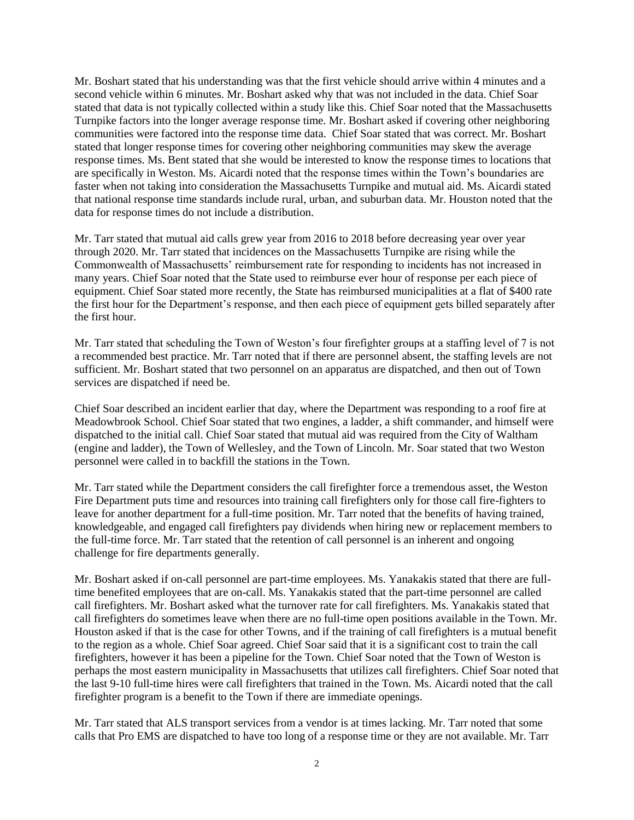Mr. Boshart stated that his understanding was that the first vehicle should arrive within 4 minutes and a second vehicle within 6 minutes. Mr. Boshart asked why that was not included in the data. Chief Soar stated that data is not typically collected within a study like this. Chief Soar noted that the Massachusetts Turnpike factors into the longer average response time. Mr. Boshart asked if covering other neighboring communities were factored into the response time data. Chief Soar stated that was correct. Mr. Boshart stated that longer response times for covering other neighboring communities may skew the average response times. Ms. Bent stated that she would be interested to know the response times to locations that are specifically in Weston. Ms. Aicardi noted that the response times within the Town's boundaries are faster when not taking into consideration the Massachusetts Turnpike and mutual aid. Ms. Aicardi stated that national response time standards include rural, urban, and suburban data. Mr. Houston noted that the data for response times do not include a distribution.

Mr. Tarr stated that mutual aid calls grew year from 2016 to 2018 before decreasing year over year through 2020. Mr. Tarr stated that incidences on the Massachusetts Turnpike are rising while the Commonwealth of Massachusetts' reimbursement rate for responding to incidents has not increased in many years. Chief Soar noted that the State used to reimburse ever hour of response per each piece of equipment. Chief Soar stated more recently, the State has reimbursed municipalities at a flat of \$400 rate the first hour for the Department's response, and then each piece of equipment gets billed separately after the first hour.

Mr. Tarr stated that scheduling the Town of Weston's four firefighter groups at a staffing level of 7 is not a recommended best practice. Mr. Tarr noted that if there are personnel absent, the staffing levels are not sufficient. Mr. Boshart stated that two personnel on an apparatus are dispatched, and then out of Town services are dispatched if need be.

Chief Soar described an incident earlier that day, where the Department was responding to a roof fire at Meadowbrook School. Chief Soar stated that two engines, a ladder, a shift commander, and himself were dispatched to the initial call. Chief Soar stated that mutual aid was required from the City of Waltham (engine and ladder), the Town of Wellesley, and the Town of Lincoln. Mr. Soar stated that two Weston personnel were called in to backfill the stations in the Town.

Mr. Tarr stated while the Department considers the call firefighter force a tremendous asset, the Weston Fire Department puts time and resources into training call firefighters only for those call fire-fighters to leave for another department for a full-time position. Mr. Tarr noted that the benefits of having trained, knowledgeable, and engaged call firefighters pay dividends when hiring new or replacement members to the full-time force. Mr. Tarr stated that the retention of call personnel is an inherent and ongoing challenge for fire departments generally.

Mr. Boshart asked if on-call personnel are part-time employees. Ms. Yanakakis stated that there are fulltime benefited employees that are on-call. Ms. Yanakakis stated that the part-time personnel are called call firefighters. Mr. Boshart asked what the turnover rate for call firefighters. Ms. Yanakakis stated that call firefighters do sometimes leave when there are no full-time open positions available in the Town. Mr. Houston asked if that is the case for other Towns, and if the training of call firefighters is a mutual benefit to the region as a whole. Chief Soar agreed. Chief Soar said that it is a significant cost to train the call firefighters, however it has been a pipeline for the Town. Chief Soar noted that the Town of Weston is perhaps the most eastern municipality in Massachusetts that utilizes call firefighters. Chief Soar noted that the last 9-10 full-time hires were call firefighters that trained in the Town. Ms. Aicardi noted that the call firefighter program is a benefit to the Town if there are immediate openings.

Mr. Tarr stated that ALS transport services from a vendor is at times lacking. Mr. Tarr noted that some calls that Pro EMS are dispatched to have too long of a response time or they are not available. Mr. Tarr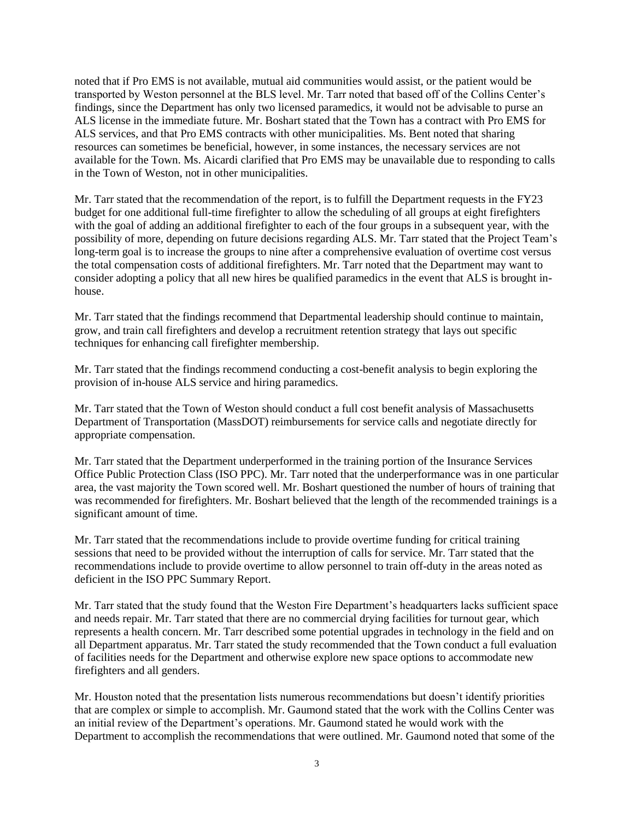noted that if Pro EMS is not available, mutual aid communities would assist, or the patient would be transported by Weston personnel at the BLS level. Mr. Tarr noted that based off of the Collins Center's findings, since the Department has only two licensed paramedics, it would not be advisable to purse an ALS license in the immediate future. Mr. Boshart stated that the Town has a contract with Pro EMS for ALS services, and that Pro EMS contracts with other municipalities. Ms. Bent noted that sharing resources can sometimes be beneficial, however, in some instances, the necessary services are not available for the Town. Ms. Aicardi clarified that Pro EMS may be unavailable due to responding to calls in the Town of Weston, not in other municipalities.

Mr. Tarr stated that the recommendation of the report, is to fulfill the Department requests in the FY23 budget for one additional full-time firefighter to allow the scheduling of all groups at eight firefighters with the goal of adding an additional firefighter to each of the four groups in a subsequent year, with the possibility of more, depending on future decisions regarding ALS. Mr. Tarr stated that the Project Team's long-term goal is to increase the groups to nine after a comprehensive evaluation of overtime cost versus the total compensation costs of additional firefighters. Mr. Tarr noted that the Department may want to consider adopting a policy that all new hires be qualified paramedics in the event that ALS is brought inhouse.

Mr. Tarr stated that the findings recommend that Departmental leadership should continue to maintain, grow, and train call firefighters and develop a recruitment retention strategy that lays out specific techniques for enhancing call firefighter membership.

Mr. Tarr stated that the findings recommend conducting a cost-benefit analysis to begin exploring the provision of in-house ALS service and hiring paramedics.

Mr. Tarr stated that the Town of Weston should conduct a full cost benefit analysis of Massachusetts Department of Transportation (MassDOT) reimbursements for service calls and negotiate directly for appropriate compensation.

Mr. Tarr stated that the Department underperformed in the training portion of the Insurance Services Office Public Protection Class (ISO PPC). Mr. Tarr noted that the underperformance was in one particular area, the vast majority the Town scored well. Mr. Boshart questioned the number of hours of training that was recommended for firefighters. Mr. Boshart believed that the length of the recommended trainings is a significant amount of time.

Mr. Tarr stated that the recommendations include to provide overtime funding for critical training sessions that need to be provided without the interruption of calls for service. Mr. Tarr stated that the recommendations include to provide overtime to allow personnel to train off-duty in the areas noted as deficient in the ISO PPC Summary Report.

Mr. Tarr stated that the study found that the Weston Fire Department's headquarters lacks sufficient space and needs repair. Mr. Tarr stated that there are no commercial drying facilities for turnout gear, which represents a health concern. Mr. Tarr described some potential upgrades in technology in the field and on all Department apparatus. Mr. Tarr stated the study recommended that the Town conduct a full evaluation of facilities needs for the Department and otherwise explore new space options to accommodate new firefighters and all genders.

Mr. Houston noted that the presentation lists numerous recommendations but doesn't identify priorities that are complex or simple to accomplish. Mr. Gaumond stated that the work with the Collins Center was an initial review of the Department's operations. Mr. Gaumond stated he would work with the Department to accomplish the recommendations that were outlined. Mr. Gaumond noted that some of the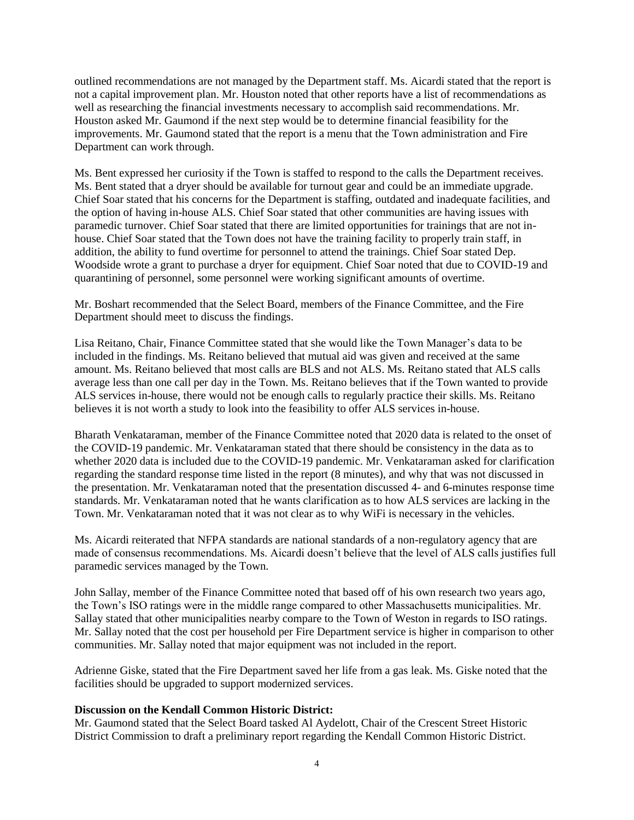outlined recommendations are not managed by the Department staff. Ms. Aicardi stated that the report is not a capital improvement plan. Mr. Houston noted that other reports have a list of recommendations as well as researching the financial investments necessary to accomplish said recommendations. Mr. Houston asked Mr. Gaumond if the next step would be to determine financial feasibility for the improvements. Mr. Gaumond stated that the report is a menu that the Town administration and Fire Department can work through.

Ms. Bent expressed her curiosity if the Town is staffed to respond to the calls the Department receives. Ms. Bent stated that a dryer should be available for turnout gear and could be an immediate upgrade. Chief Soar stated that his concerns for the Department is staffing, outdated and inadequate facilities, and the option of having in-house ALS. Chief Soar stated that other communities are having issues with paramedic turnover. Chief Soar stated that there are limited opportunities for trainings that are not inhouse. Chief Soar stated that the Town does not have the training facility to properly train staff, in addition, the ability to fund overtime for personnel to attend the trainings. Chief Soar stated Dep. Woodside wrote a grant to purchase a dryer for equipment. Chief Soar noted that due to COVID-19 and quarantining of personnel, some personnel were working significant amounts of overtime.

Mr. Boshart recommended that the Select Board, members of the Finance Committee, and the Fire Department should meet to discuss the findings.

Lisa Reitano, Chair, Finance Committee stated that she would like the Town Manager's data to be included in the findings. Ms. Reitano believed that mutual aid was given and received at the same amount. Ms. Reitano believed that most calls are BLS and not ALS. Ms. Reitano stated that ALS calls average less than one call per day in the Town. Ms. Reitano believes that if the Town wanted to provide ALS services in-house, there would not be enough calls to regularly practice their skills. Ms. Reitano believes it is not worth a study to look into the feasibility to offer ALS services in-house.

Bharath Venkataraman, member of the Finance Committee noted that 2020 data is related to the onset of the COVID-19 pandemic. Mr. Venkataraman stated that there should be consistency in the data as to whether 2020 data is included due to the COVID-19 pandemic. Mr. Venkataraman asked for clarification regarding the standard response time listed in the report (8 minutes), and why that was not discussed in the presentation. Mr. Venkataraman noted that the presentation discussed 4- and 6-minutes response time standards. Mr. Venkataraman noted that he wants clarification as to how ALS services are lacking in the Town. Mr. Venkataraman noted that it was not clear as to why WiFi is necessary in the vehicles.

Ms. Aicardi reiterated that NFPA standards are national standards of a non-regulatory agency that are made of consensus recommendations. Ms. Aicardi doesn't believe that the level of ALS calls justifies full paramedic services managed by the Town.

John Sallay, member of the Finance Committee noted that based off of his own research two years ago, the Town's ISO ratings were in the middle range compared to other Massachusetts municipalities. Mr. Sallay stated that other municipalities nearby compare to the Town of Weston in regards to ISO ratings. Mr. Sallay noted that the cost per household per Fire Department service is higher in comparison to other communities. Mr. Sallay noted that major equipment was not included in the report.

Adrienne Giske, stated that the Fire Department saved her life from a gas leak. Ms. Giske noted that the facilities should be upgraded to support modernized services.

### **Discussion on the Kendall Common Historic District:**

Mr. Gaumond stated that the Select Board tasked Al Aydelott, Chair of the Crescent Street Historic District Commission to draft a preliminary report regarding the Kendall Common Historic District.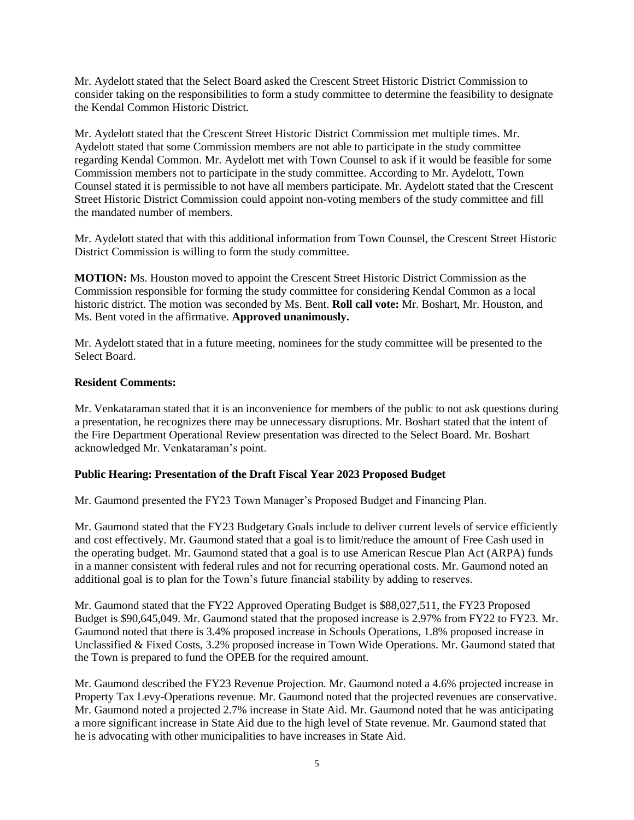Mr. Aydelott stated that the Select Board asked the Crescent Street Historic District Commission to consider taking on the responsibilities to form a study committee to determine the feasibility to designate the Kendal Common Historic District.

Mr. Aydelott stated that the Crescent Street Historic District Commission met multiple times. Mr. Aydelott stated that some Commission members are not able to participate in the study committee regarding Kendal Common. Mr. Aydelott met with Town Counsel to ask if it would be feasible for some Commission members not to participate in the study committee. According to Mr. Aydelott, Town Counsel stated it is permissible to not have all members participate. Mr. Aydelott stated that the Crescent Street Historic District Commission could appoint non-voting members of the study committee and fill the mandated number of members.

Mr. Aydelott stated that with this additional information from Town Counsel, the Crescent Street Historic District Commission is willing to form the study committee.

**MOTION:** Ms. Houston moved to appoint the Crescent Street Historic District Commission as the Commission responsible for forming the study committee for considering Kendal Common as a local historic district. The motion was seconded by Ms. Bent. **Roll call vote:** Mr. Boshart, Mr. Houston, and Ms. Bent voted in the affirmative. **Approved unanimously.**

Mr. Aydelott stated that in a future meeting, nominees for the study committee will be presented to the Select Board.

## **Resident Comments:**

Mr. Venkataraman stated that it is an inconvenience for members of the public to not ask questions during a presentation, he recognizes there may be unnecessary disruptions. Mr. Boshart stated that the intent of the Fire Department Operational Review presentation was directed to the Select Board. Mr. Boshart acknowledged Mr. Venkataraman's point.

### **Public Hearing: Presentation of the Draft Fiscal Year 2023 Proposed Budget**

Mr. Gaumond presented the FY23 Town Manager's Proposed Budget and Financing Plan.

Mr. Gaumond stated that the FY23 Budgetary Goals include to deliver current levels of service efficiently and cost effectively. Mr. Gaumond stated that a goal is to limit/reduce the amount of Free Cash used in the operating budget. Mr. Gaumond stated that a goal is to use American Rescue Plan Act (ARPA) funds in a manner consistent with federal rules and not for recurring operational costs. Mr. Gaumond noted an additional goal is to plan for the Town's future financial stability by adding to reserves.

Mr. Gaumond stated that the FY22 Approved Operating Budget is \$88,027,511, the FY23 Proposed Budget is \$90,645,049. Mr. Gaumond stated that the proposed increase is 2.97% from FY22 to FY23. Mr. Gaumond noted that there is 3.4% proposed increase in Schools Operations, 1.8% proposed increase in Unclassified & Fixed Costs, 3.2% proposed increase in Town Wide Operations. Mr. Gaumond stated that the Town is prepared to fund the OPEB for the required amount.

Mr. Gaumond described the FY23 Revenue Projection. Mr. Gaumond noted a 4.6% projected increase in Property Tax Levy-Operations revenue. Mr. Gaumond noted that the projected revenues are conservative. Mr. Gaumond noted a projected 2.7% increase in State Aid. Mr. Gaumond noted that he was anticipating a more significant increase in State Aid due to the high level of State revenue. Mr. Gaumond stated that he is advocating with other municipalities to have increases in State Aid.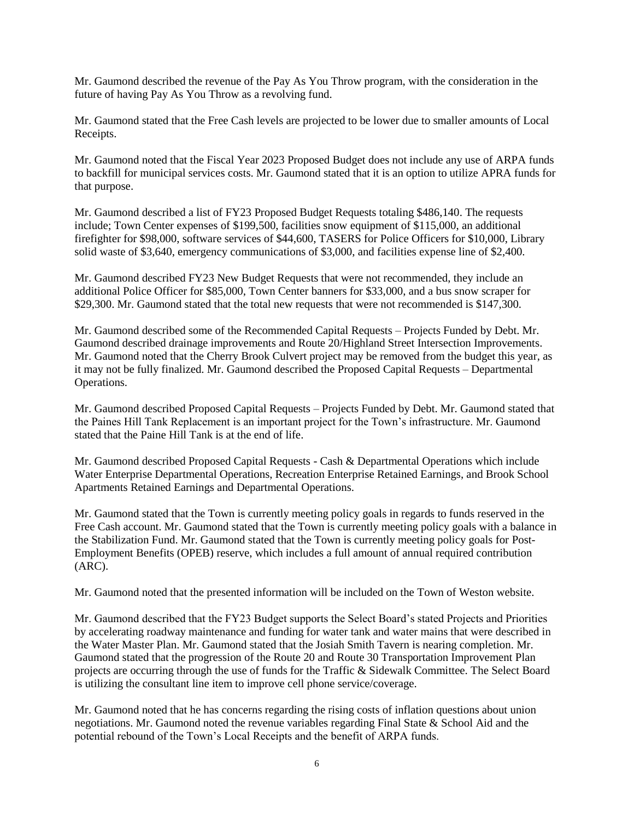Mr. Gaumond described the revenue of the Pay As You Throw program, with the consideration in the future of having Pay As You Throw as a revolving fund.

Mr. Gaumond stated that the Free Cash levels are projected to be lower due to smaller amounts of Local Receipts.

Mr. Gaumond noted that the Fiscal Year 2023 Proposed Budget does not include any use of ARPA funds to backfill for municipal services costs. Mr. Gaumond stated that it is an option to utilize APRA funds for that purpose.

Mr. Gaumond described a list of FY23 Proposed Budget Requests totaling \$486,140. The requests include; Town Center expenses of \$199,500, facilities snow equipment of \$115,000, an additional firefighter for \$98,000, software services of \$44,600, TASERS for Police Officers for \$10,000, Library solid waste of \$3,640, emergency communications of \$3,000, and facilities expense line of \$2,400.

Mr. Gaumond described FY23 New Budget Requests that were not recommended, they include an additional Police Officer for \$85,000, Town Center banners for \$33,000, and a bus snow scraper for \$29,300. Mr. Gaumond stated that the total new requests that were not recommended is \$147,300.

Mr. Gaumond described some of the Recommended Capital Requests – Projects Funded by Debt. Mr. Gaumond described drainage improvements and Route 20/Highland Street Intersection Improvements. Mr. Gaumond noted that the Cherry Brook Culvert project may be removed from the budget this year, as it may not be fully finalized. Mr. Gaumond described the Proposed Capital Requests – Departmental Operations.

Mr. Gaumond described Proposed Capital Requests – Projects Funded by Debt. Mr. Gaumond stated that the Paines Hill Tank Replacement is an important project for the Town's infrastructure. Mr. Gaumond stated that the Paine Hill Tank is at the end of life.

Mr. Gaumond described Proposed Capital Requests - Cash & Departmental Operations which include Water Enterprise Departmental Operations, Recreation Enterprise Retained Earnings, and Brook School Apartments Retained Earnings and Departmental Operations.

Mr. Gaumond stated that the Town is currently meeting policy goals in regards to funds reserved in the Free Cash account. Mr. Gaumond stated that the Town is currently meeting policy goals with a balance in the Stabilization Fund. Mr. Gaumond stated that the Town is currently meeting policy goals for Post-Employment Benefits (OPEB) reserve, which includes a full amount of annual required contribution (ARC).

Mr. Gaumond noted that the presented information will be included on the Town of Weston website.

Mr. Gaumond described that the FY23 Budget supports the Select Board's stated Projects and Priorities by accelerating roadway maintenance and funding for water tank and water mains that were described in the Water Master Plan. Mr. Gaumond stated that the Josiah Smith Tavern is nearing completion. Mr. Gaumond stated that the progression of the Route 20 and Route 30 Transportation Improvement Plan projects are occurring through the use of funds for the Traffic & Sidewalk Committee. The Select Board is utilizing the consultant line item to improve cell phone service/coverage.

Mr. Gaumond noted that he has concerns regarding the rising costs of inflation questions about union negotiations. Mr. Gaumond noted the revenue variables regarding Final State & School Aid and the potential rebound of the Town's Local Receipts and the benefit of ARPA funds.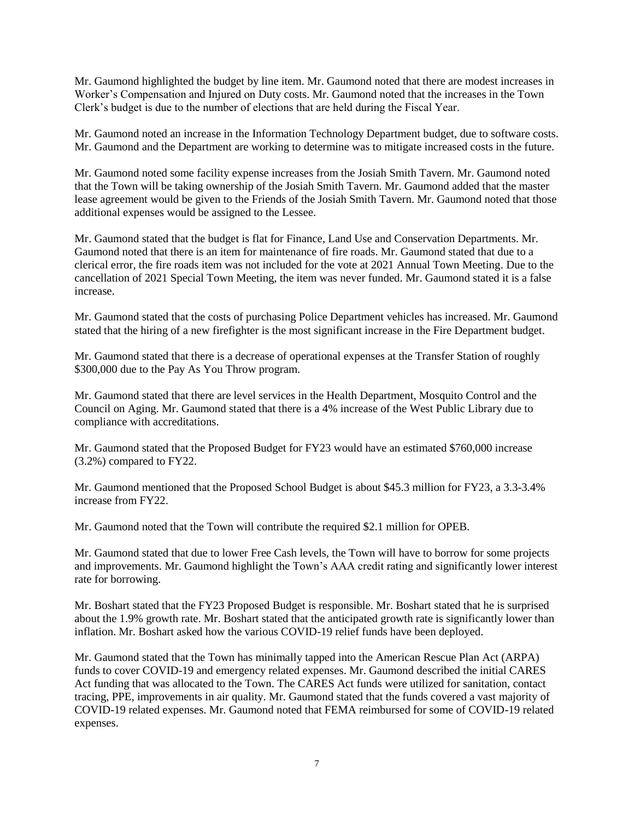Mr. Gaumond highlighted the budget by line item. Mr. Gaumond noted that there are modest increases in Worker's Compensation and Injured on Duty costs. Mr. Gaumond noted that the increases in the Town Clerk's budget is due to the number of elections that are held during the Fiscal Year.

Mr. Gaumond noted an increase in the Information Technology Department budget, due to software costs. Mr. Gaumond and the Department are working to determine was to mitigate increased costs in the future.

Mr. Gaumond noted some facility expense increases from the Josiah Smith Tavern. Mr. Gaumond noted that the Town will be taking ownership of the Josiah Smith Tavern. Mr. Gaumond added that the master lease agreement would be given to the Friends of the Josiah Smith Tavern. Mr. Gaumond noted that those additional expenses would be assigned to the Lessee.

Mr. Gaumond stated that the budget is flat for Finance, Land Use and Conservation Departments. Mr. Gaumond noted that there is an item for maintenance of fire roads. Mr. Gaumond stated that due to a clerical error, the fire roads item was not included for the vote at 2021 Annual Town Meeting. Due to the cancellation of 2021 Special Town Meeting, the item was never funded. Mr. Gaumond stated it is a false increase.

Mr. Gaumond stated that the costs of purchasing Police Department vehicles has increased. Mr. Gaumond stated that the hiring of a new firefighter is the most significant increase in the Fire Department budget.

Mr. Gaumond stated that there is a decrease of operational expenses at the Transfer Station of roughly \$300,000 due to the Pay As You Throw program.

Mr. Gaumond stated that there are level services in the Health Department, Mosquito Control and the Council on Aging. Mr. Gaumond stated that there is a 4% increase of the West Public Library due to compliance with accreditations.

Mr. Gaumond stated that the Proposed Budget for FY23 would have an estimated \$760,000 increase (3.2%) compared to FY22.

Mr. Gaumond mentioned that the Proposed School Budget is about \$45.3 million for FY23, a 3.3-3.4% increase from FY22.

Mr. Gaumond noted that the Town will contribute the required \$2.1 million for OPEB.

Mr. Gaumond stated that due to lower Free Cash levels, the Town will have to borrow for some projects and improvements. Mr. Gaumond highlight the Town's AAA credit rating and significantly lower interest rate for borrowing.

Mr. Boshart stated that the FY23 Proposed Budget is responsible. Mr. Boshart stated that he is surprised about the 1.9% growth rate. Mr. Boshart stated that the anticipated growth rate is significantly lower than inflation. Mr. Boshart asked how the various COVID-19 relief funds have been deployed.

Mr. Gaumond stated that the Town has minimally tapped into the American Rescue Plan Act (ARPA) funds to cover COVID-19 and emergency related expenses. Mr. Gaumond described the initial CARES Act funding that was allocated to the Town. The CARES Act funds were utilized for sanitation, contact tracing, PPE, improvements in air quality. Mr. Gaumond stated that the funds covered a vast majority of COVID-19 related expenses. Mr. Gaumond noted that FEMA reimbursed for some of COVID-19 related expenses.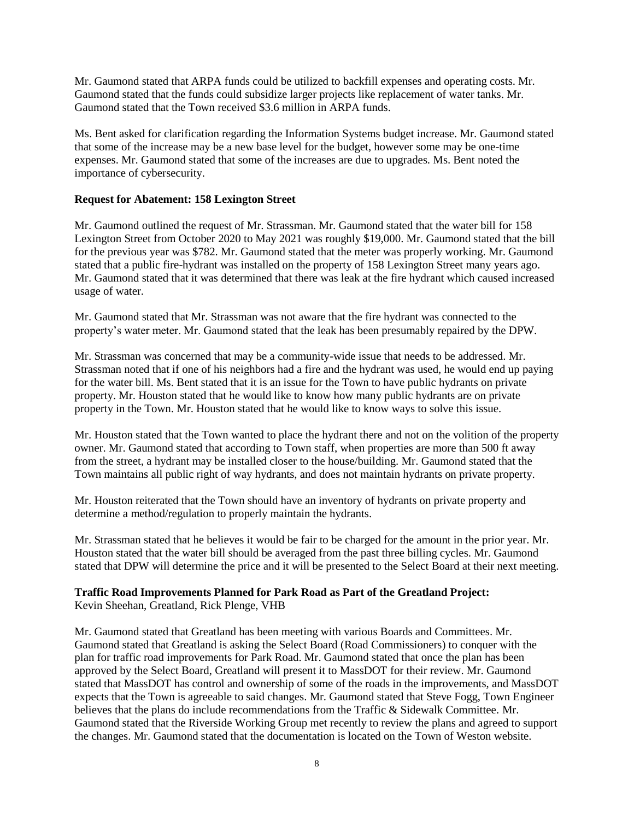Mr. Gaumond stated that ARPA funds could be utilized to backfill expenses and operating costs. Mr. Gaumond stated that the funds could subsidize larger projects like replacement of water tanks. Mr. Gaumond stated that the Town received \$3.6 million in ARPA funds.

Ms. Bent asked for clarification regarding the Information Systems budget increase. Mr. Gaumond stated that some of the increase may be a new base level for the budget, however some may be one-time expenses. Mr. Gaumond stated that some of the increases are due to upgrades. Ms. Bent noted the importance of cybersecurity.

# **Request for Abatement: 158 Lexington Street**

Mr. Gaumond outlined the request of Mr. Strassman. Mr. Gaumond stated that the water bill for 158 Lexington Street from October 2020 to May 2021 was roughly \$19,000. Mr. Gaumond stated that the bill for the previous year was \$782. Mr. Gaumond stated that the meter was properly working. Mr. Gaumond stated that a public fire-hydrant was installed on the property of 158 Lexington Street many years ago. Mr. Gaumond stated that it was determined that there was leak at the fire hydrant which caused increased usage of water.

Mr. Gaumond stated that Mr. Strassman was not aware that the fire hydrant was connected to the property's water meter. Mr. Gaumond stated that the leak has been presumably repaired by the DPW.

Mr. Strassman was concerned that may be a community-wide issue that needs to be addressed. Mr. Strassman noted that if one of his neighbors had a fire and the hydrant was used, he would end up paying for the water bill. Ms. Bent stated that it is an issue for the Town to have public hydrants on private property. Mr. Houston stated that he would like to know how many public hydrants are on private property in the Town. Mr. Houston stated that he would like to know ways to solve this issue.

Mr. Houston stated that the Town wanted to place the hydrant there and not on the volition of the property owner. Mr. Gaumond stated that according to Town staff, when properties are more than 500 ft away from the street, a hydrant may be installed closer to the house/building. Mr. Gaumond stated that the Town maintains all public right of way hydrants, and does not maintain hydrants on private property.

Mr. Houston reiterated that the Town should have an inventory of hydrants on private property and determine a method/regulation to properly maintain the hydrants.

Mr. Strassman stated that he believes it would be fair to be charged for the amount in the prior year. Mr. Houston stated that the water bill should be averaged from the past three billing cycles. Mr. Gaumond stated that DPW will determine the price and it will be presented to the Select Board at their next meeting.

# **Traffic Road Improvements Planned for Park Road as Part of the Greatland Project:** Kevin Sheehan, Greatland, Rick Plenge, VHB

Mr. Gaumond stated that Greatland has been meeting with various Boards and Committees. Mr. Gaumond stated that Greatland is asking the Select Board (Road Commissioners) to conquer with the plan for traffic road improvements for Park Road. Mr. Gaumond stated that once the plan has been approved by the Select Board, Greatland will present it to MassDOT for their review. Mr. Gaumond stated that MassDOT has control and ownership of some of the roads in the improvements, and MassDOT expects that the Town is agreeable to said changes. Mr. Gaumond stated that Steve Fogg, Town Engineer believes that the plans do include recommendations from the Traffic & Sidewalk Committee. Mr. Gaumond stated that the Riverside Working Group met recently to review the plans and agreed to support the changes. Mr. Gaumond stated that the documentation is located on the Town of Weston website.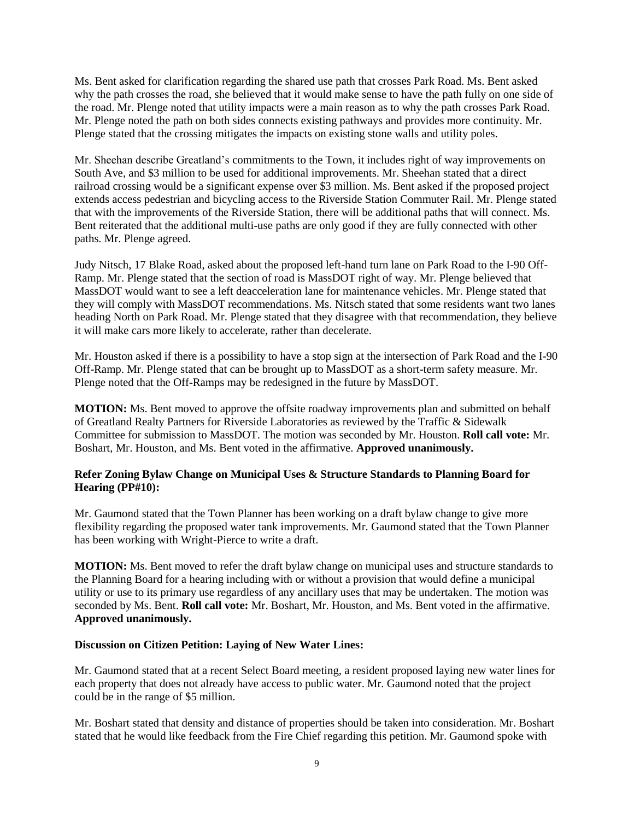Ms. Bent asked for clarification regarding the shared use path that crosses Park Road. Ms. Bent asked why the path crosses the road, she believed that it would make sense to have the path fully on one side of the road. Mr. Plenge noted that utility impacts were a main reason as to why the path crosses Park Road. Mr. Plenge noted the path on both sides connects existing pathways and provides more continuity. Mr. Plenge stated that the crossing mitigates the impacts on existing stone walls and utility poles.

Mr. Sheehan describe Greatland's commitments to the Town, it includes right of way improvements on South Ave, and \$3 million to be used for additional improvements. Mr. Sheehan stated that a direct railroad crossing would be a significant expense over \$3 million. Ms. Bent asked if the proposed project extends access pedestrian and bicycling access to the Riverside Station Commuter Rail. Mr. Plenge stated that with the improvements of the Riverside Station, there will be additional paths that will connect. Ms. Bent reiterated that the additional multi-use paths are only good if they are fully connected with other paths. Mr. Plenge agreed.

Judy Nitsch, 17 Blake Road, asked about the proposed left-hand turn lane on Park Road to the I-90 Off-Ramp. Mr. Plenge stated that the section of road is MassDOT right of way. Mr. Plenge believed that MassDOT would want to see a left deacceleration lane for maintenance vehicles. Mr. Plenge stated that they will comply with MassDOT recommendations. Ms. Nitsch stated that some residents want two lanes heading North on Park Road. Mr. Plenge stated that they disagree with that recommendation, they believe it will make cars more likely to accelerate, rather than decelerate.

Mr. Houston asked if there is a possibility to have a stop sign at the intersection of Park Road and the I-90 Off-Ramp. Mr. Plenge stated that can be brought up to MassDOT as a short-term safety measure. Mr. Plenge noted that the Off-Ramps may be redesigned in the future by MassDOT.

**MOTION:** Ms. Bent moved to approve the offsite roadway improvements plan and submitted on behalf of Greatland Realty Partners for Riverside Laboratories as reviewed by the Traffic & Sidewalk Committee for submission to MassDOT. The motion was seconded by Mr. Houston. **Roll call vote:** Mr. Boshart, Mr. Houston, and Ms. Bent voted in the affirmative. **Approved unanimously.**

# **Refer Zoning Bylaw Change on Municipal Uses & Structure Standards to Planning Board for Hearing (PP#10):**

Mr. Gaumond stated that the Town Planner has been working on a draft bylaw change to give more flexibility regarding the proposed water tank improvements. Mr. Gaumond stated that the Town Planner has been working with Wright-Pierce to write a draft.

**MOTION:** Ms. Bent moved to refer the draft bylaw change on municipal uses and structure standards to the Planning Board for a hearing including with or without a provision that would define a municipal utility or use to its primary use regardless of any ancillary uses that may be undertaken. The motion was seconded by Ms. Bent. **Roll call vote:** Mr. Boshart, Mr. Houston, and Ms. Bent voted in the affirmative. **Approved unanimously.**

### **Discussion on Citizen Petition: Laying of New Water Lines:**

Mr. Gaumond stated that at a recent Select Board meeting, a resident proposed laying new water lines for each property that does not already have access to public water. Mr. Gaumond noted that the project could be in the range of \$5 million.

Mr. Boshart stated that density and distance of properties should be taken into consideration. Mr. Boshart stated that he would like feedback from the Fire Chief regarding this petition. Mr. Gaumond spoke with